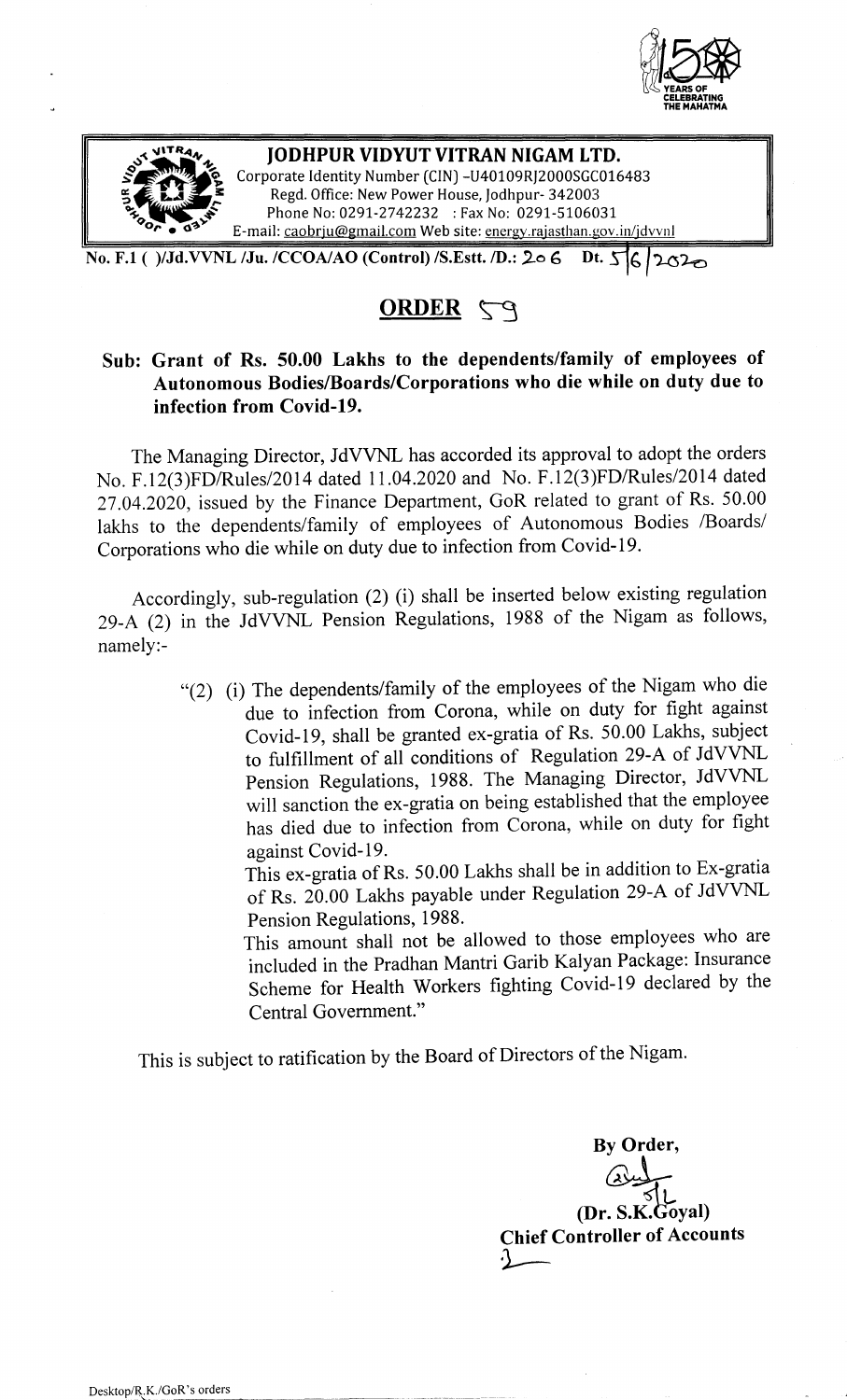



No. F.1 ( )/Jd.VVNL /Ju. /CCOA/AO (Control) /S.Estt. /D.: 206 Dt. 56 2020

## $ORDER$   $\zeta q$

## Sub: Grant of Rs. 50.00 Lakhs to the dependents/family of employees of Autonomous Bodies/Boards/Corporations who die while on duty due to infection from Covid-19.

The Managing Director, JdVVNL has accorded its approval to adopt the orders No. F.12(3)FD/Rules/2014 dated 11.04.2020 and No. F.12(3)FD/Rules/2014 dated 27.04.2020, issued by the Finance Department, GoR related to grant of Rs. 50.00 lakhs to the dependents/family of employees of Autonomous Bodies /Boards/ Corporations who die while on duty due to infection from Covid-19.

Accordingly, sub-regulation (2) (i) shall be inserted below existing regulation 29-A (2) in the JdVVNL Pension Regulations, 1988 of the Nigam as follows, namely:-

> "(2) (i) The dependents/family of the employees of the Nigam who die due to infection from Corona, while on duty for fight against Covid-19, shall be granted ex-gratia of Rs. 50.00 Lakhs, subject to fulfillment of all conditions of Regulation 29-A of JdVVNL Pension Regulations, 1988. The Managing Director, JdVVNL will sanction the ex-gratia on being established that the employee has died due to infection from Corona, while on duty for fight against Covid-19.

This ex-gratia of Rs. 50.00 Lakhs shall be in addition to Ex-gratia of Rs. 20.00 Lakhs payable under Regulation 29-A of JdVVNL Pension Regulations, 1988.

This amount shall not be allowed to those employees who are included in the Pradhan Mantri Garib Kalyan Package: Insurance Scheme for Health Workers fighting Covid-19 declared by the Central Government."

This is subject to ratification by the Board of Directors of the Nigam.

By Order, ~  $(Dr. S.K.Goyal)$ Chief Controller of Accounts